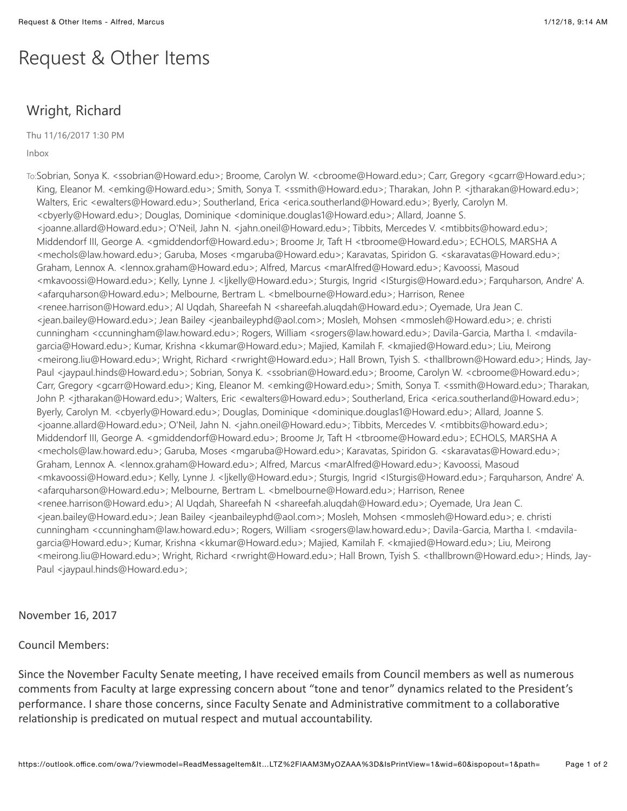## Request & Other Items

## Wright, Richard

Thu 11/16/2017 1:30 PM

Inbox

To:Sobrian, Sonya K. <ssobrian@Howard.edu>; Broome, Carolyn W. <cbroome@Howard.edu>; Carr, Gregory <gcarr@Howard.edu>; King, Eleanor M. <emking@Howard.edu>; Smith, Sonya T. <ssmith@Howard.edu>; Tharakan, John P. <jtharakan@Howard.edu>; Walters, Eric <ewalters@Howard.edu>; Southerland, Erica <erica.southerland@Howard.edu>; Byerly, Carolyn M. <cbyerly@Howard.edu>; Douglas, Dominique <dominique.douglas1@Howard.edu>; Allard, Joanne S. <joanne.allard@Howard.edu>; O'Neil, Jahn N. <jahn.oneil@Howard.edu>; Tibbits, Mercedes V. <mtibbits@howard.edu>; Middendorf III, George A. <gmiddendorf@Howard.edu>; Broome Jr, Taft H <tbroome@Howard.edu>; ECHOLS, MARSHA A <mechols@law.howard.edu>; Garuba, Moses <mgaruba@Howard.edu>; Karavatas, Spiridon G. <skaravatas@Howard.edu>; Graham, Lennox A. <lennox.graham@Howard.edu>; Alfred, Marcus <marAlfred@Howard.edu>; Kavoossi, Masoud <mkavoossi@Howard.edu>; Kelly, Lynne J. <ljkelly@Howard.edu>; Sturgis, Ingrid <ISturgis@Howard.edu>; Farquharson, Andre' A. <afarquharson@Howard.edu>; Melbourne, Bertram L. <bmelbourne@Howard.edu>; Harrison, Renee <renee.harrison@Howard.edu>; Al Uqdah, Shareefah N <shareefah.aluqdah@Howard.edu>; Oyemade, Ura Jean C. <jean.bailey@Howard.edu>; Jean Bailey <jeanbaileyphd@aol.com>; Mosleh, Mohsen <mmosleh@Howard.edu>; e. christi cunningham <ccunningham@law.howard.edu>; Rogers, William <srogers@law.howard.edu>; Davila-Garcia, Martha I. <mdavilagarcia@Howard.edu>; Kumar, Krishna <kkumar@Howard.edu>; Majied, Kamilah F. <kmajied@Howard.edu>; Liu, Meirong <meirong.liu@Howard.edu>; Wright, Richard <rwright@Howard.edu>; Hall Brown, Tyish S. <thallbrown@Howard.edu>; Hinds, Jay-Paul <jaypaul.hinds@Howard.edu>; Sobrian, Sonya K. <ssobrian@Howard.edu>; Broome, Carolyn W. <cbroome@Howard.edu>; Carr, Gregory <gcarr@Howard.edu>; King, Eleanor M. <emking@Howard.edu>; Smith, Sonya T. <ssmith@Howard.edu>; Tharakan, John P. <jtharakan@Howard.edu>; Walters, Eric <ewalters@Howard.edu>; Southerland, Erica <erica.southerland@Howard.edu>; Byerly, Carolyn M. <cbyerly@Howard.edu>; Douglas, Dominique <dominique.douglas1@Howard.edu>; Allard, Joanne S. <joanne.allard@Howard.edu>; O'Neil, Jahn N. <jahn.oneil@Howard.edu>; Tibbits, Mercedes V. <mtibbits@howard.edu>; Middendorf III, George A. <gmiddendorf@Howard.edu>; Broome Jr, Taft H <tbroome@Howard.edu>; ECHOLS, MARSHA A <mechols@law.howard.edu>; Garuba, Moses <mgaruba@Howard.edu>; Karavatas, Spiridon G. <skaravatas@Howard.edu>; Graham, Lennox A. <lennox.graham@Howard.edu>; Alfred, Marcus <marAlfred@Howard.edu>; Kavoossi, Masoud <mkavoossi@Howard.edu>; Kelly, Lynne J. <ljkelly@Howard.edu>; Sturgis, Ingrid <ISturgis@Howard.edu>; Farquharson, Andre' A. <afarquharson@Howard.edu>; Melbourne, Bertram L. <bmelbourne@Howard.edu>; Harrison, Renee <renee.harrison@Howard.edu>; Al Uqdah, Shareefah N <shareefah.aluqdah@Howard.edu>; Oyemade, Ura Jean C. <jean.bailey@Howard.edu>; Jean Bailey <jeanbaileyphd@aol.com>; Mosleh, Mohsen <mmosleh@Howard.edu>; e. christi cunningham <ccunningham@law.howard.edu>; Rogers, William <srogers@law.howard.edu>; Davila-Garcia, Martha I. <mdavilagarcia@Howard.edu>; Kumar, Krishna <kkumar@Howard.edu>; Majied, Kamilah F. <kmajied@Howard.edu>; Liu, Meirong <meirong.liu@Howard.edu>; Wright, Richard <rwright@Howard.edu>; Hall Brown, Tyish S. <thallbrown@Howard.edu>; Hinds, Jay-Paul <jaypaul.hinds@Howard.edu>;

## November 16, 2017

## Council Members:

Since the November Faculty Senate meeting, I have received emails from Council members as well as numerous comments from Faculty at large expressing concern about "tone and tenor" dynamics related to the President's performance. I share those concerns, since Faculty Senate and Administrative commitment to a collaborative relationship is predicated on mutual respect and mutual accountability.